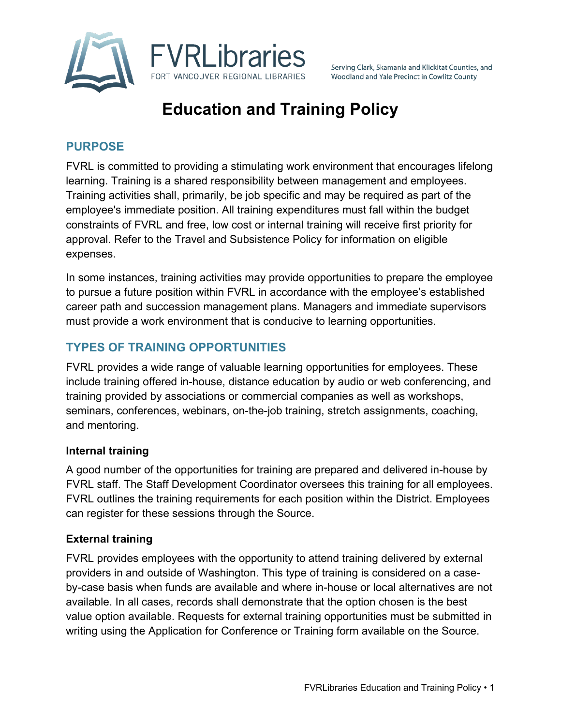

Serving Clark, Skamania and Klickitat Counties, and Woodland and Yale Precinct in Cowlitz County

# **Education and Training Policy**

## **PURPOSE**

FVRL is committed to providing a stimulating work environment that encourages lifelong learning. Training is a shared responsibility between management and employees. Training activities shall, primarily, be job specific and may be required as part of the employee's immediate position. All training expenditures must fall within the budget constraints of FVRL and free, low cost or internal training will receive first priority for approval. Refer to the Travel and Subsistence Policy for information on eligible expenses.

In some instances, training activities may provide opportunities to prepare the employee to pursue a future position within FVRL in accordance with the employee's established career path and succession management plans. Managers and immediate supervisors must provide a work environment that is conducive to learning opportunities.

# **TYPES OF TRAINING OPPORTUNITIES**

FVRL provides a wide range of valuable learning opportunities for employees. These include training offered in-house, distance education by audio or web conferencing, and training provided by associations or commercial companies as well as workshops, seminars, conferences, webinars, on-the-job training, stretch assignments, coaching, and mentoring.

## **Internal training**

A good number of the opportunities for training are prepared and delivered in-house by FVRL staff. The Staff Development Coordinator oversees this training for all employees. FVRL outlines the training requirements for each position within the District. Employees can register for these sessions through the Source.

## **External training**

FVRL provides employees with the opportunity to attend training delivered by external providers in and outside of Washington. This type of training is considered on a caseby-case basis when funds are available and where in-house or local alternatives are not available. In all cases, records shall demonstrate that the option chosen is the best value option available. Requests for external training opportunities must be submitted in writing using the Application for Conference or Training form available on the Source.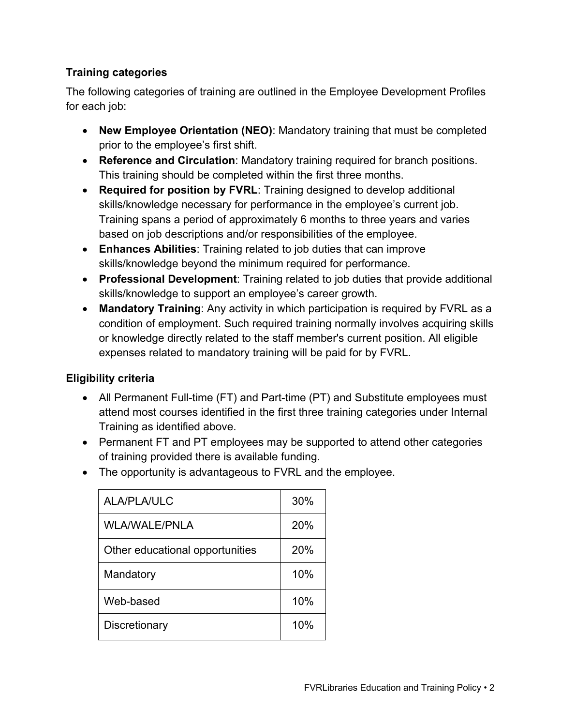## **Training categories**

The following categories of training are outlined in the Employee Development Profiles for each job:

- **New Employee Orientation (NEO)**: Mandatory training that must be completed prior to the employee's first shift.
- **Reference and Circulation**: Mandatory training required for branch positions. This training should be completed within the first three months.
- **Required for position by FVRL**: Training designed to develop additional skills/knowledge necessary for performance in the employee's current job. Training spans a period of approximately 6 months to three years and varies based on job descriptions and/or responsibilities of the employee.
- **Enhances Abilities**: Training related to job duties that can improve skills/knowledge beyond the minimum required for performance.
- **Professional Development**: Training related to job duties that provide additional skills/knowledge to support an employee's career growth.
- **Mandatory Training**: Any activity in which participation is required by FVRL as a condition of employment. Such required training normally involves acquiring skills or knowledge directly related to the staff member's current position. All eligible expenses related to mandatory training will be paid for by FVRL.

## **Eligibility criteria**

- All Permanent Full-time (FT) and Part-time (PT) and Substitute employees must attend most courses identified in the first three training categories under Internal Training as identified above.
- Permanent FT and PT employees may be supported to attend other categories of training provided there is available funding.
- The opportunity is advantageous to FVRL and the employee.

| <b>ALA/PLA/ULC</b>              | 30% |
|---------------------------------|-----|
| <b>WLA/WALE/PNLA</b>            | 20% |
| Other educational opportunities | 20% |
| Mandatory                       | 10% |
| Web-based                       | 10% |
| Discretionary                   | 10% |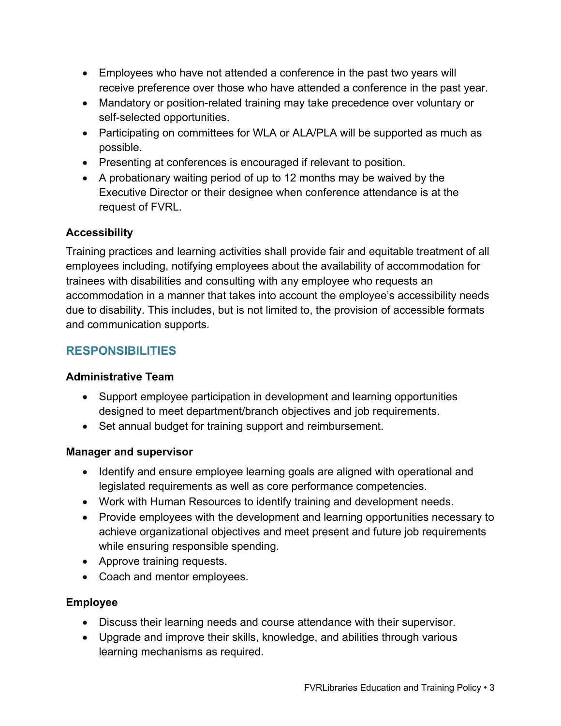- Employees who have not attended a conference in the past two years will receive preference over those who have attended a conference in the past year.
- Mandatory or position-related training may take precedence over voluntary or self-selected opportunities.
- Participating on committees for WLA or ALA/PLA will be supported as much as possible.
- Presenting at conferences is encouraged if relevant to position.
- A probationary waiting period of up to 12 months may be waived by the Executive Director or their designee when conference attendance is at the request of FVRL.

# **Accessibility**

Training practices and learning activities shall provide fair and equitable treatment of all employees including, notifying employees about the availability of accommodation for trainees with disabilities and consulting with any employee who requests an accommodation in a manner that takes into account the employee's accessibility needs due to disability. This includes, but is not limited to, the provision of accessible formats and communication supports.

# **RESPONSIBILITIES**

## **Administrative Team**

- Support employee participation in development and learning opportunities designed to meet department/branch objectives and job requirements.
- Set annual budget for training support and reimbursement.

## **Manager and supervisor**

- Identify and ensure employee learning goals are aligned with operational and legislated requirements as well as core performance competencies.
- Work with Human Resources to identify training and development needs.
- Provide employees with the development and learning opportunities necessary to achieve organizational objectives and meet present and future job requirements while ensuring responsible spending.
- Approve training requests.
- Coach and mentor employees.

# **Employee**

- Discuss their learning needs and course attendance with their supervisor.
- Upgrade and improve their skills, knowledge, and abilities through various learning mechanisms as required.